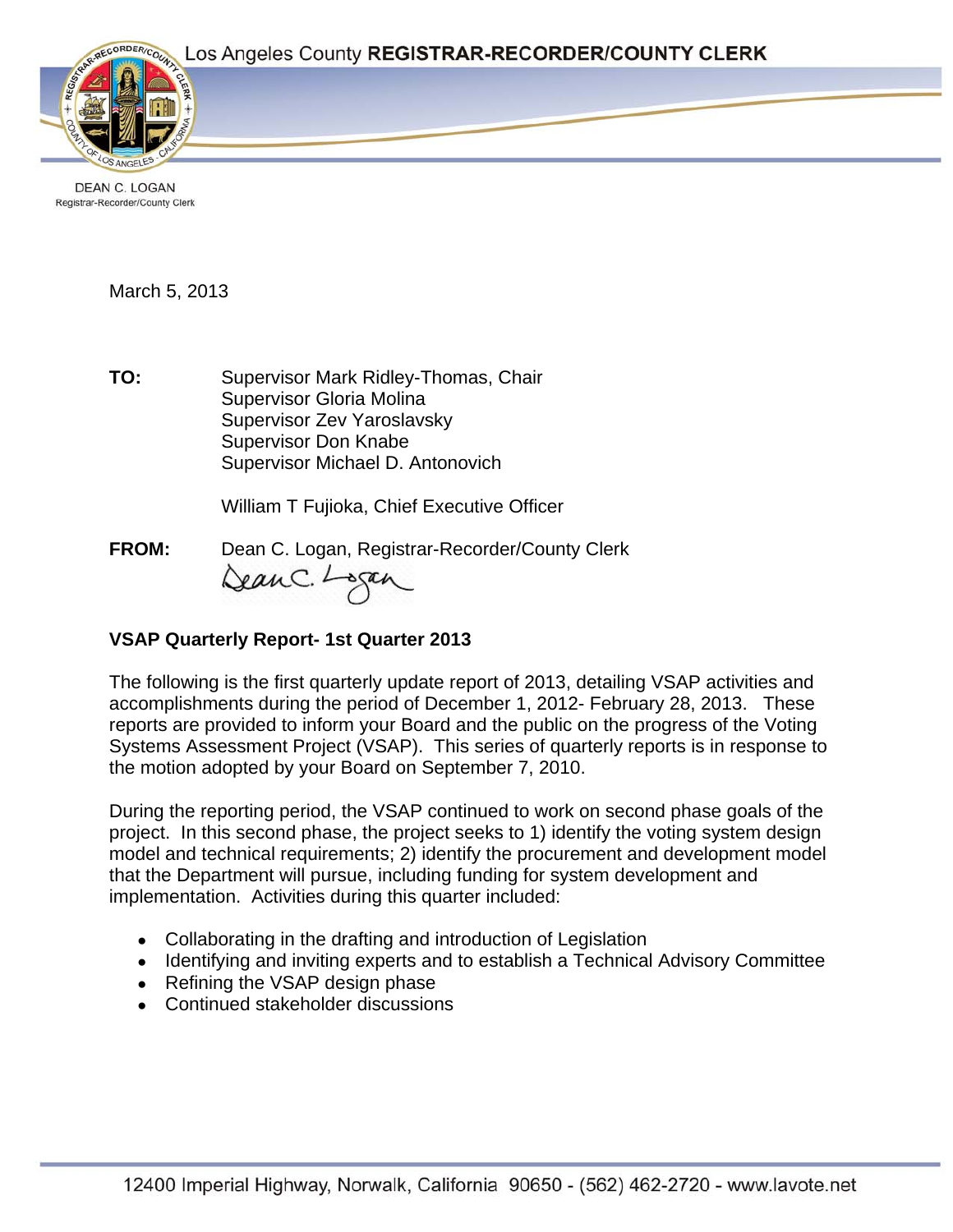Page 1



DEAN C. LOGAN Registrar-Recorder/County Clerk

### March 5, 2013

**TO:** Supervisor Mark Ridley-Thomas, Chair Supervisor Gloria Molina Supervisor Zev Yaroslavsky Supervisor Don Knabe Supervisor Michael D. Antonovich

William T Fujioka, Chief Executive Officer

**FROM:** Dean C. Logan, Registrar-Recorder/County Clerk DeanC. Logan

# **VSAP Quarterly Report- 1st Quarter 2013**

The following is the first quarterly update report of 2013, detailing VSAP activities and accomplishments during the period of December 1, 2012- February 28, 2013. These reports are provided to inform your Board and the public on the progress of the Voting Systems Assessment Project (VSAP). This series of quarterly reports is in response to the motion adopted by your Board on September 7, 2010.

During the reporting period, the VSAP continued to work on second phase goals of the project. In this second phase, the project seeks to 1) identify the voting system design model and technical requirements; 2) identify the procurement and development model that the Department will pursue, including funding for system development and implementation. Activities during this quarter included:

- Collaborating in the drafting and introduction of Legislation
- Identifying and inviting experts and to establish a Technical Advisory Committee
- Refining the VSAP design phase
- Continued stakeholder discussions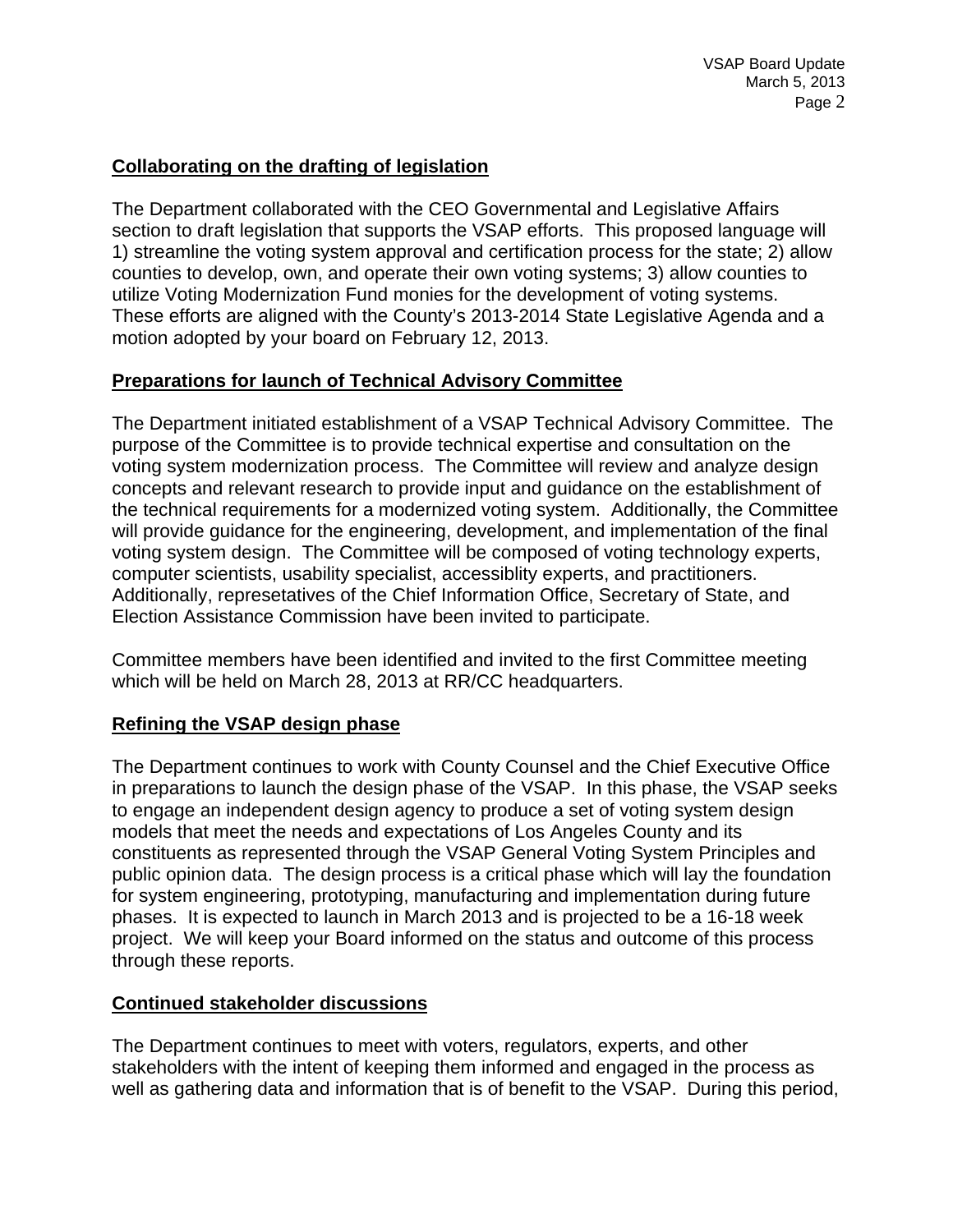## **Collaborating on the drafting of legislation**

The Department collaborated with the CEO Governmental and Legislative Affairs section to draft legislation that supports the VSAP efforts. This proposed language will 1) streamline the voting system approval and certification process for the state; 2) allow counties to develop, own, and operate their own voting systems; 3) allow counties to utilize Voting Modernization Fund monies for the development of voting systems. These efforts are aligned with the County's 2013-2014 State Legislative Agenda and a motion adopted by your board on February 12, 2013.

# **Preparations for launch of Technical Advisory Committee**

The Department initiated establishment of a VSAP Technical Advisory Committee. The purpose of the Committee is to provide technical expertise and consultation on the voting system modernization process. The Committee will review and analyze design concepts and relevant research to provide input and guidance on the establishment of the technical requirements for a modernized voting system. Additionally, the Committee will provide guidance for the engineering, development, and implementation of the final voting system design. The Committee will be composed of voting technology experts, computer scientists, usability specialist, accessiblity experts, and practitioners. Additionally, represetatives of the Chief Information Office, Secretary of State, and Election Assistance Commission have been invited to participate.

Committee members have been identified and invited to the first Committee meeting which will be held on March 28, 2013 at RR/CC headquarters.

### **Refining the VSAP design phase**

The Department continues to work with County Counsel and the Chief Executive Office in preparations to launch the design phase of the VSAP. In this phase, the VSAP seeks to engage an independent design agency to produce a set of voting system design models that meet the needs and expectations of Los Angeles County and its constituents as represented through the VSAP General Voting System Principles and public opinion data. The design process is a critical phase which will lay the foundation for system engineering, prototyping, manufacturing and implementation during future phases. It is expected to launch in March 2013 and is projected to be a 16-18 week project. We will keep your Board informed on the status and outcome of this process through these reports.

### **Continued stakeholder discussions**

The Department continues to meet with voters, regulators, experts, and other stakeholders with the intent of keeping them informed and engaged in the process as well as gathering data and information that is of benefit to the VSAP. During this period,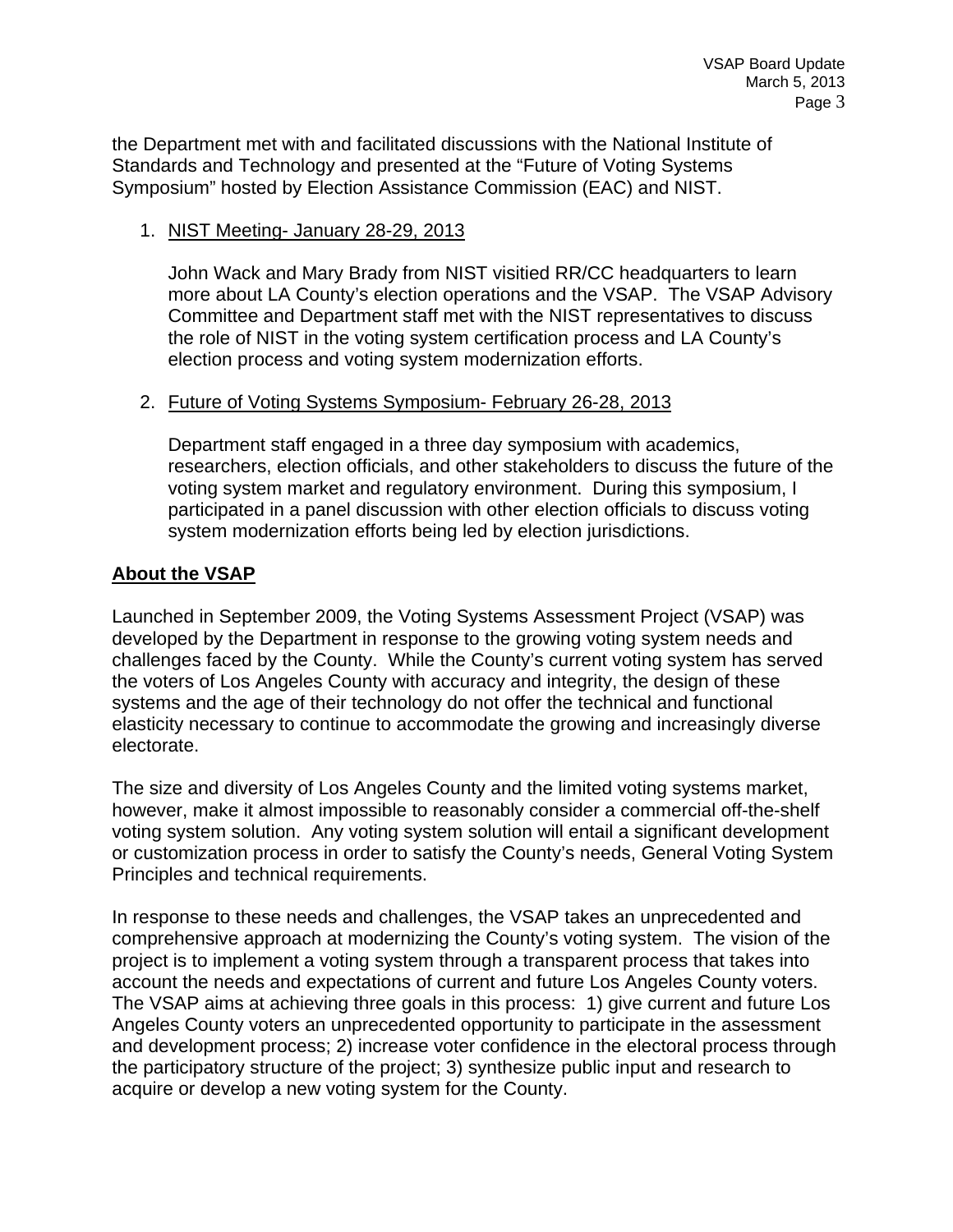the Department met with and facilitated discussions with the National Institute of Standards and Technology and presented at the "Future of Voting Systems Symposium" hosted by Election Assistance Commission (EAC) and NIST.

#### 1. NIST Meeting- January 28-29, 2013

John Wack and Mary Brady from NIST visitied RR/CC headquarters to learn more about LA County's election operations and the VSAP. The VSAP Advisory Committee and Department staff met with the NIST representatives to discuss the role of NIST in the voting system certification process and LA County's election process and voting system modernization efforts.

#### 2. Future of Voting Systems Symposium- February 26-28, 2013

Department staff engaged in a three day symposium with academics, researchers, election officials, and other stakeholders to discuss the future of the voting system market and regulatory environment. During this symposium, I participated in a panel discussion with other election officials to discuss voting system modernization efforts being led by election jurisdictions.

#### **About the VSAP**

Launched in September 2009, the Voting Systems Assessment Project (VSAP) was developed by the Department in response to the growing voting system needs and challenges faced by the County. While the County's current voting system has served the voters of Los Angeles County with accuracy and integrity, the design of these systems and the age of their technology do not offer the technical and functional elasticity necessary to continue to accommodate the growing and increasingly diverse electorate.

The size and diversity of Los Angeles County and the limited voting systems market, however, make it almost impossible to reasonably consider a commercial off-the-shelf voting system solution. Any voting system solution will entail a significant development or customization process in order to satisfy the County's needs, General Voting System Principles and technical requirements.

In response to these needs and challenges, the VSAP takes an unprecedented and comprehensive approach at modernizing the County's voting system. The vision of the project is to implement a voting system through a transparent process that takes into account the needs and expectations of current and future Los Angeles County voters. The VSAP aims at achieving three goals in this process: 1) give current and future Los Angeles County voters an unprecedented opportunity to participate in the assessment and development process; 2) increase voter confidence in the electoral process through the participatory structure of the project; 3) synthesize public input and research to acquire or develop a new voting system for the County.